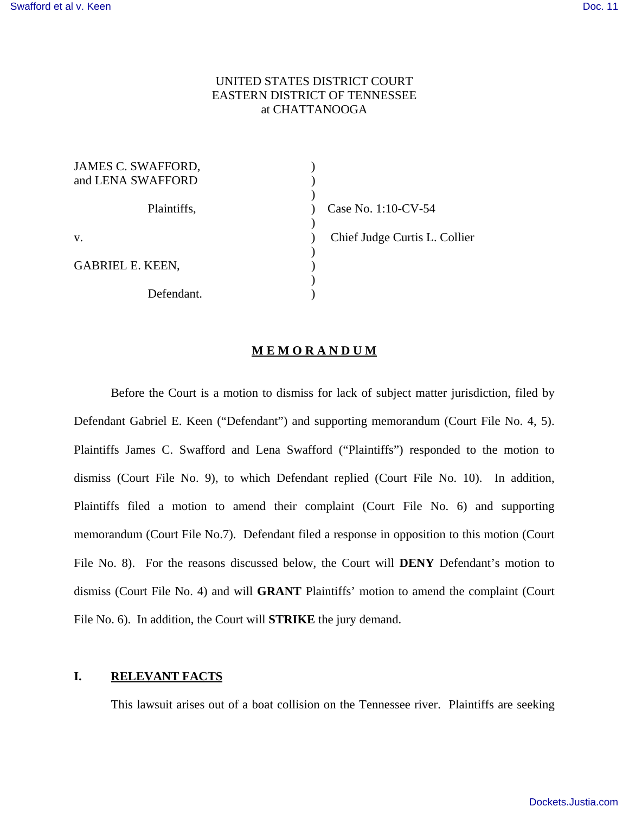# UNITED STATES DISTRICT COURT EASTERN DISTRICT OF TENNESSEE at CHATTANOOGA

| JAMES C. SWAFFORD,      |                               |
|-------------------------|-------------------------------|
| and LENA SWAFFORD       |                               |
|                         |                               |
| Plaintiffs,             | Case No. 1:10-CV-54           |
|                         |                               |
| V.                      | Chief Judge Curtis L. Collier |
|                         |                               |
| <b>GABRIEL E. KEEN,</b> |                               |
|                         |                               |
| Defendant.              |                               |

#### **M E M O R A N D U M**

Before the Court is a motion to dismiss for lack of subject matter jurisdiction, filed by Defendant Gabriel E. Keen ("Defendant") and supporting memorandum (Court File No. 4, 5). Plaintiffs James C. Swafford and Lena Swafford ("Plaintiffs") responded to the motion to dismiss (Court File No. 9), to which Defendant replied (Court File No. 10). In addition, Plaintiffs filed a motion to amend their complaint (Court File No. 6) and supporting memorandum (Court File No.7). Defendant filed a response in opposition to this motion (Court File No. 8). For the reasons discussed below, the Court will **DENY** Defendant's motion to dismiss (Court File No. 4) and will **GRANT** Plaintiffs' motion to amend the complaint (Court File No. 6). In addition, the Court will **STRIKE** the jury demand.

# **I. RELEVANT FACTS**

This lawsuit arises out of a boat collision on the Tennessee river. Plaintiffs are seeking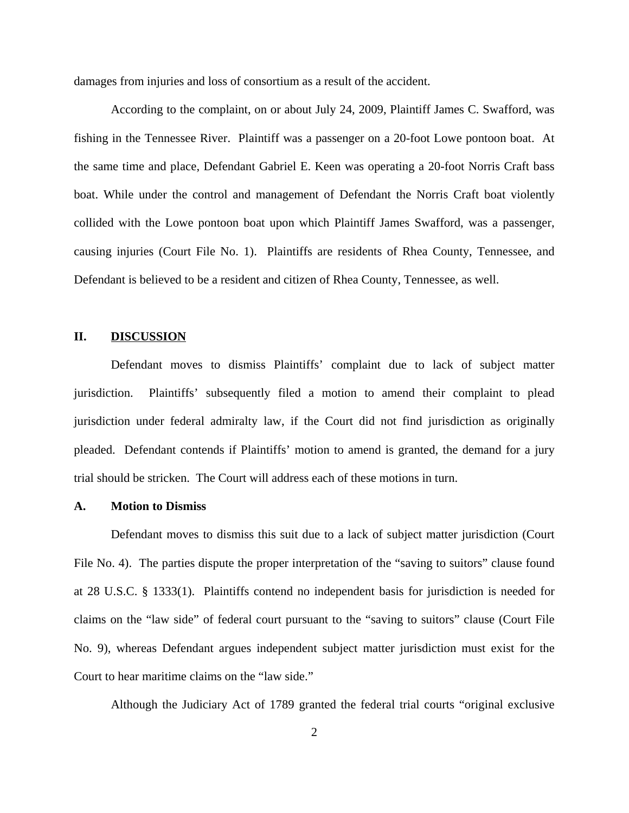damages from injuries and loss of consortium as a result of the accident.

According to the complaint, on or about July 24, 2009, Plaintiff James C. Swafford, was fishing in the Tennessee River. Plaintiff was a passenger on a 20-foot Lowe pontoon boat. At the same time and place, Defendant Gabriel E. Keen was operating a 20-foot Norris Craft bass boat. While under the control and management of Defendant the Norris Craft boat violently collided with the Lowe pontoon boat upon which Plaintiff James Swafford, was a passenger, causing injuries (Court File No. 1). Plaintiffs are residents of Rhea County, Tennessee, and Defendant is believed to be a resident and citizen of Rhea County, Tennessee, as well.

# **II. DISCUSSION**

Defendant moves to dismiss Plaintiffs' complaint due to lack of subject matter jurisdiction. Plaintiffs' subsequently filed a motion to amend their complaint to plead jurisdiction under federal admiralty law, if the Court did not find jurisdiction as originally pleaded. Defendant contends if Plaintiffs' motion to amend is granted, the demand for a jury trial should be stricken. The Court will address each of these motions in turn.

### **A. Motion to Dismiss**

Defendant moves to dismiss this suit due to a lack of subject matter jurisdiction (Court File No. 4). The parties dispute the proper interpretation of the "saving to suitors" clause found at 28 U.S.C. § 1333(1). Plaintiffs contend no independent basis for jurisdiction is needed for claims on the "law side" of federal court pursuant to the "saving to suitors" clause (Court File No. 9), whereas Defendant argues independent subject matter jurisdiction must exist for the Court to hear maritime claims on the "law side."

Although the Judiciary Act of 1789 granted the federal trial courts "original exclusive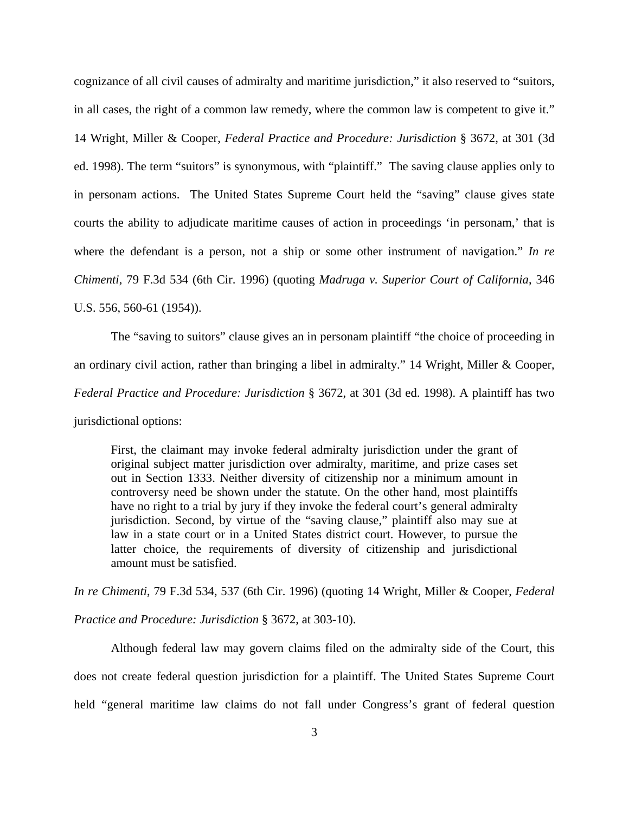cognizance of all civil causes of admiralty and maritime jurisdiction," it also reserved to "suitors, in all cases, the right of a common law remedy, where the common law is competent to give it." 14 Wright, Miller & Cooper, *Federal Practice and Procedure: Jurisdiction* § 3672, at 301 (3d ed. 1998). The term "suitors" is synonymous, with "plaintiff." The saving clause applies only to in personam actions. The United States Supreme Court held the "saving" clause gives state courts the ability to adjudicate maritime causes of action in proceedings 'in personam,' that is where the defendant is a person, not a ship or some other instrument of navigation." *In re Chimenti*, 79 F.3d 534 (6th Cir. 1996) (quoting *Madruga v. Superior Court of California*, 346 U.S. 556, 560-61 (1954)).

The "saving to suitors" clause gives an in personam plaintiff "the choice of proceeding in an ordinary civil action, rather than bringing a libel in admiralty." 14 Wright, Miller & Cooper, *Federal Practice and Procedure: Jurisdiction* § 3672, at 301 (3d ed. 1998). A plaintiff has two jurisdictional options:

First, the claimant may invoke federal admiralty jurisdiction under the grant of original subject matter jurisdiction over admiralty, maritime, and prize cases set out in Section 1333. Neither diversity of citizenship nor a minimum amount in controversy need be shown under the statute. On the other hand, most plaintiffs have no right to a trial by jury if they invoke the federal court's general admiralty jurisdiction. Second, by virtue of the "saving clause," plaintiff also may sue at law in a state court or in a United States district court. However, to pursue the latter choice, the requirements of diversity of citizenship and jurisdictional amount must be satisfied.

*In re Chimenti*, 79 F.3d 534, 537 (6th Cir. 1996) (quoting 14 Wright, Miller & Cooper, *Federal Practice and Procedure: Jurisdiction* § 3672, at 303-10).

Although federal law may govern claims filed on the admiralty side of the Court, this does not create federal question jurisdiction for a plaintiff. The United States Supreme Court held "general maritime law claims do not fall under Congress's grant of federal question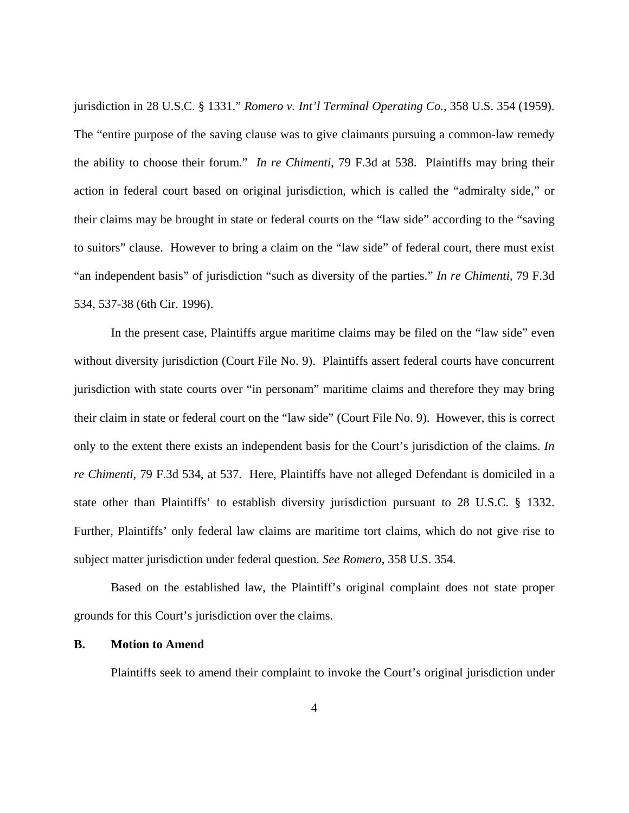jurisdiction in 28 U.S.C. § 1331." *Romero v. Int'l Terminal Operating Co.*, 358 U.S. 354 (1959). The "entire purpose of the saving clause was to give claimants pursuing a common-law remedy the ability to choose their forum." *In re Chimenti*, 79 F.3d at 538. Plaintiffs may bring their action in federal court based on original jurisdiction, which is called the "admiralty side," or their claims may be brought in state or federal courts on the "law side" according to the "saving to suitors" clause. However to bring a claim on the "law side" of federal court, there must exist "an independent basis" of jurisdiction "such as diversity of the parties." *In re Chimenti*, 79 F.3d 534, 537-38 (6th Cir. 1996).

In the present case, Plaintiffs argue maritime claims may be filed on the "law side" even without diversity jurisdiction (Court File No. 9). Plaintiffs assert federal courts have concurrent jurisdiction with state courts over "in personam" maritime claims and therefore they may bring their claim in state or federal court on the "law side" (Court File No. 9). However, this is correct only to the extent there exists an independent basis for the Court's jurisdiction of the claims. *In re Chimenti*, 79 F.3d 534, at 537. Here, Plaintiffs have not alleged Defendant is domiciled in a state other than Plaintiffs' to establish diversity jurisdiction pursuant to 28 U.S.C. § 1332. Further, Plaintiffs' only federal law claims are maritime tort claims, which do not give rise to subject matter jurisdiction under federal question. *See Romero*, 358 U.S. 354.

Based on the established law, the Plaintiff's original complaint does not state proper grounds for this Court's jurisdiction over the claims.

#### **B. Motion to Amend**

Plaintiffs seek to amend their complaint to invoke the Court's original jurisdiction under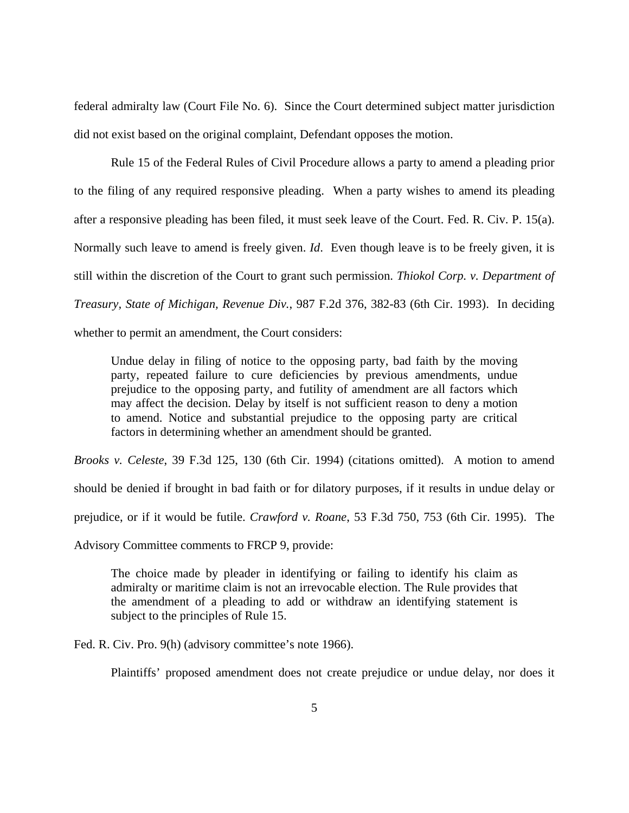federal admiralty law (Court File No. 6). Since the Court determined subject matter jurisdiction did not exist based on the original complaint, Defendant opposes the motion.

Rule 15 of the Federal Rules of Civil Procedure allows a party to amend a pleading prior to the filing of any required responsive pleading. When a party wishes to amend its pleading after a responsive pleading has been filed, it must seek leave of the Court. Fed. R. Civ. P. 15(a). Normally such leave to amend is freely given. *Id*. Even though leave is to be freely given, it is still within the discretion of the Court to grant such permission. *Thiokol Corp. v. Department of Treasury, State of Michigan, Revenue Div.*, 987 F.2d 376, 382-83 (6th Cir. 1993). In deciding whether to permit an amendment, the Court considers:

Undue delay in filing of notice to the opposing party, bad faith by the moving party, repeated failure to cure deficiencies by previous amendments, undue prejudice to the opposing party, and futility of amendment are all factors which may affect the decision. Delay by itself is not sufficient reason to deny a motion to amend. Notice and substantial prejudice to the opposing party are critical factors in determining whether an amendment should be granted.

*Brooks v. Celeste*, 39 F.3d 125, 130 (6th Cir. 1994) (citations omitted). A motion to amend should be denied if brought in bad faith or for dilatory purposes, if it results in undue delay or prejudice, or if it would be futile. *Crawford v. Roane*, 53 F.3d 750, 753 (6th Cir. 1995).The

Advisory Committee comments to FRCP 9, provide:

The choice made by pleader in identifying or failing to identify his claim as admiralty or maritime claim is not an irrevocable election. The Rule provides that the amendment of a pleading to add or withdraw an identifying statement is subject to the principles of Rule 15.

Fed. R. Civ. Pro. 9(h) (advisory committee's note 1966).

Plaintiffs' proposed amendment does not create prejudice or undue delay, nor does it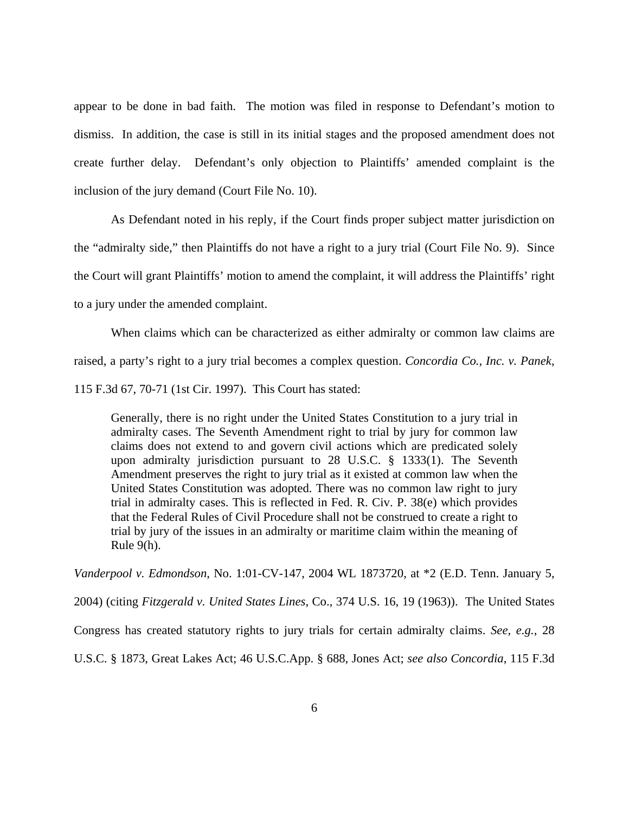appear to be done in bad faith. The motion was filed in response to Defendant's motion to dismiss. In addition, the case is still in its initial stages and the proposed amendment does not create further delay. Defendant's only objection to Plaintiffs' amended complaint is the inclusion of the jury demand (Court File No. 10).

 As Defendant noted in his reply, if the Court finds proper subject matter jurisdiction on the "admiralty side," then Plaintiffs do not have a right to a jury trial (Court File No. 9). Since the Court will grant Plaintiffs' motion to amend the complaint, it will address the Plaintiffs' right to a jury under the amended complaint.

When claims which can be characterized as either admiralty or common law claims are raised, a party's right to a jury trial becomes a complex question. *Concordia Co., Inc. v. Panek*, 115 F.3d 67, 70-71 (1st Cir. 1997). This Court has stated:

Generally, there is no right under the United States Constitution to a jury trial in admiralty cases. The Seventh Amendment right to trial by jury for common law claims does not extend to and govern civil actions which are predicated solely upon admiralty jurisdiction pursuant to 28 U.S.C. § 1333(1). The Seventh Amendment preserves the right to jury trial as it existed at common law when the United States Constitution was adopted. There was no common law right to jury trial in admiralty cases. This is reflected in Fed. R. Civ. P. 38(e) which provides that the Federal Rules of Civil Procedure shall not be construed to create a right to trial by jury of the issues in an admiralty or maritime claim within the meaning of Rule 9(h).

*Vanderpool v. Edmondson*, No. 1:01-CV-147, 2004 WL 1873720, at \*2 (E.D. Tenn. January 5, 2004) (citing *Fitzgerald v. United States Lines*, Co., 374 U.S. 16, 19 (1963)). The United States Congress has created statutory rights to jury trials for certain admiralty claims. *See, e.g.*, 28 U.S.C. § 1873, Great Lakes Act; 46 U.S.C.App. § 688, Jones Act; *see also Concordia*, 115 F.3d